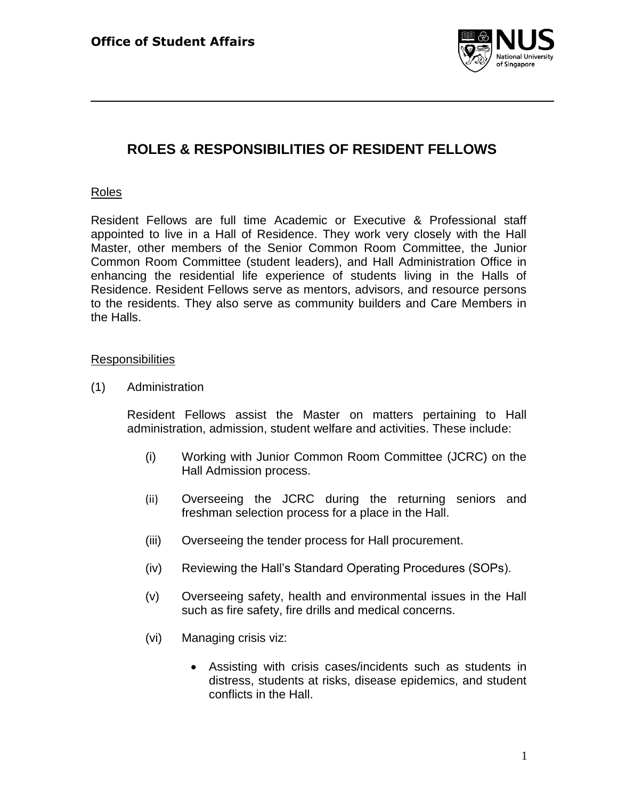

# **ROLES & RESPONSIBILITIES OF RESIDENT FELLOWS**

## Roles

Resident Fellows are full time Academic or Executive & Professional staff appointed to live in a Hall of Residence. They work very closely with the Hall Master, other members of the Senior Common Room Committee, the Junior Common Room Committee (student leaders), and Hall Administration Office in enhancing the residential life experience of students living in the Halls of Residence. Resident Fellows serve as mentors, advisors, and resource persons to the residents. They also serve as community builders and Care Members in the Halls.

## **Responsibilities**

(1) Administration

Resident Fellows assist the Master on matters pertaining to Hall administration, admission, student welfare and activities. These include:

- (i) Working with Junior Common Room Committee (JCRC) on the Hall Admission process.
- (ii) Overseeing the JCRC during the returning seniors and freshman selection process for a place in the Hall.
- (iii) Overseeing the tender process for Hall procurement.
- (iv) Reviewing the Hall's Standard Operating Procedures (SOPs).
- (v) Overseeing safety, health and environmental issues in the Hall such as fire safety, fire drills and medical concerns.
- (vi) Managing crisis viz:
	- Assisting with crisis cases/incidents such as students in distress, students at risks, disease epidemics, and student conflicts in the Hall.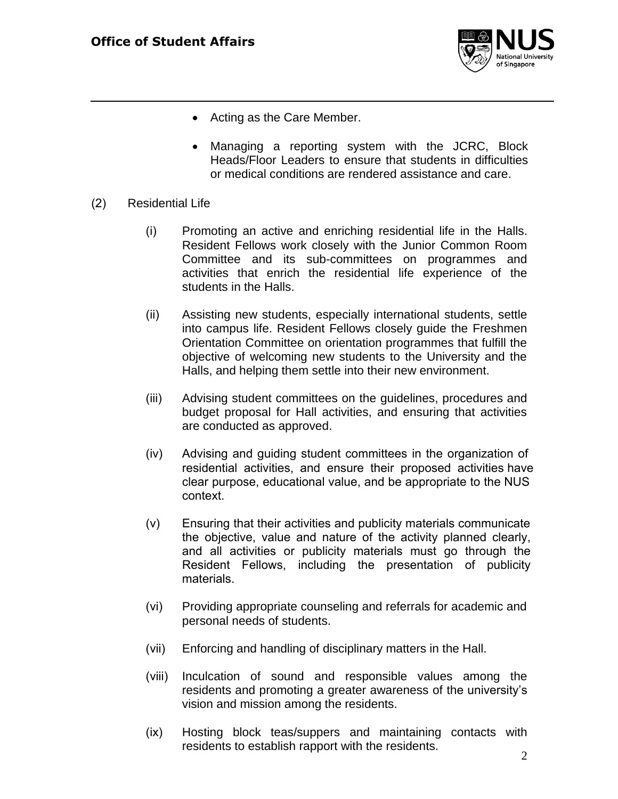

- Acting as the Care Member.
- Managing a reporting system with the JCRC, Block Heads/Floor Leaders to ensure that students in difficulties or medical conditions are rendered assistance and care.
- (2) Residential Life
	- (i) Promoting an active and enriching residential life in the Halls. Resident Fellows work closely with the Junior Common Room Committee and its sub-committees on programmes and activities that enrich the residential life experience of the students in the Halls.
	- (ii) Assisting new students, especially international students, settle into campus life. Resident Fellows closely guide the Freshmen Orientation Committee on orientation programmes that fulfill the objective of welcoming new students to the University and the Halls, and helping them settle into their new environment.
	- (iii) Advising student committees on the guidelines, procedures and budget proposal for Hall activities, and ensuring that activities are conducted as approved.
	- (iv) Advising and guiding student committees in the organization of residential activities, and ensure their proposed activities have clear purpose, educational value, and be appropriate to the NUS context.
	- (v) Ensuring that their activities and publicity materials communicate the objective, value and nature of the activity planned clearly, and all activities or publicity materials must go through the Resident Fellows, including the presentation of publicity materials.
	- (vi) Providing appropriate counseling and referrals for academic and personal needs of students.
	- (vii) Enforcing and handling of disciplinary matters in the Hall.
	- (viii) Inculcation of sound and responsible values among the residents and promoting a greater awareness of the university's vision and mission among the residents.
	- (ix) Hosting block teas/suppers and maintaining contacts with residents to establish rapport with the residents.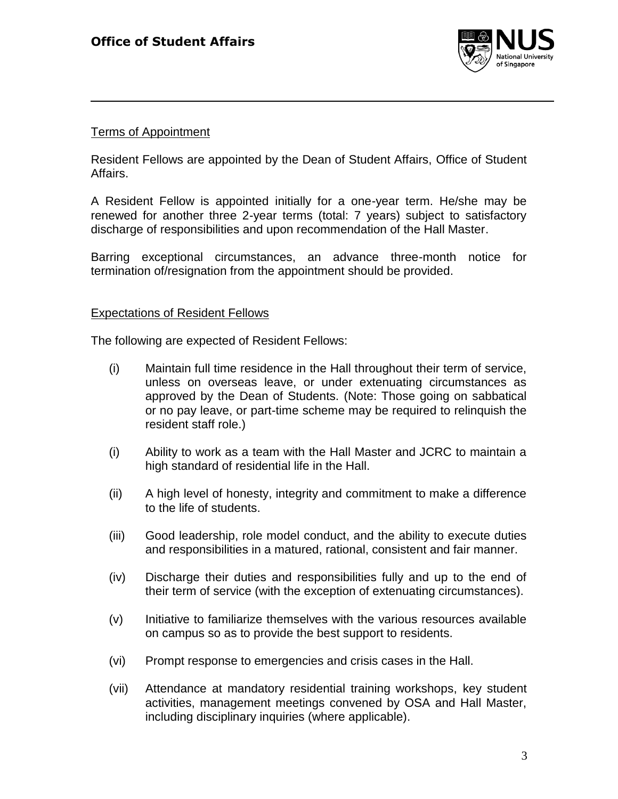

# Terms of Appointment

Resident Fellows are appointed by the Dean of Student Affairs, Office of Student Affairs.

A Resident Fellow is appointed initially for a one-year term. He/she may be renewed for another three 2-year terms (total: 7 years) subject to satisfactory discharge of responsibilities and upon recommendation of the Hall Master.

Barring exceptional circumstances, an advance three-month notice for termination of/resignation from the appointment should be provided.

## Expectations of Resident Fellows

The following are expected of Resident Fellows:

- (i) Maintain full time residence in the Hall throughout their term of service, unless on overseas leave, or under extenuating circumstances as approved by the Dean of Students. (Note: Those going on sabbatical or no pay leave, or part-time scheme may be required to relinquish the resident staff role.)
- (i) Ability to work as a team with the Hall Master and JCRC to maintain a high standard of residential life in the Hall.
- (ii) A high level of honesty, integrity and commitment to make a difference to the life of students.
- (iii) Good leadership, role model conduct, and the ability to execute duties and responsibilities in a matured, rational, consistent and fair manner.
- (iv) Discharge their duties and responsibilities fully and up to the end of their term of service (with the exception of extenuating circumstances).
- (v) Initiative to familiarize themselves with the various resources available on campus so as to provide the best support to residents.
- (vi) Prompt response to emergencies and crisis cases in the Hall.
- (vii) Attendance at mandatory residential training workshops, key student activities, management meetings convened by OSA and Hall Master, including disciplinary inquiries (where applicable).